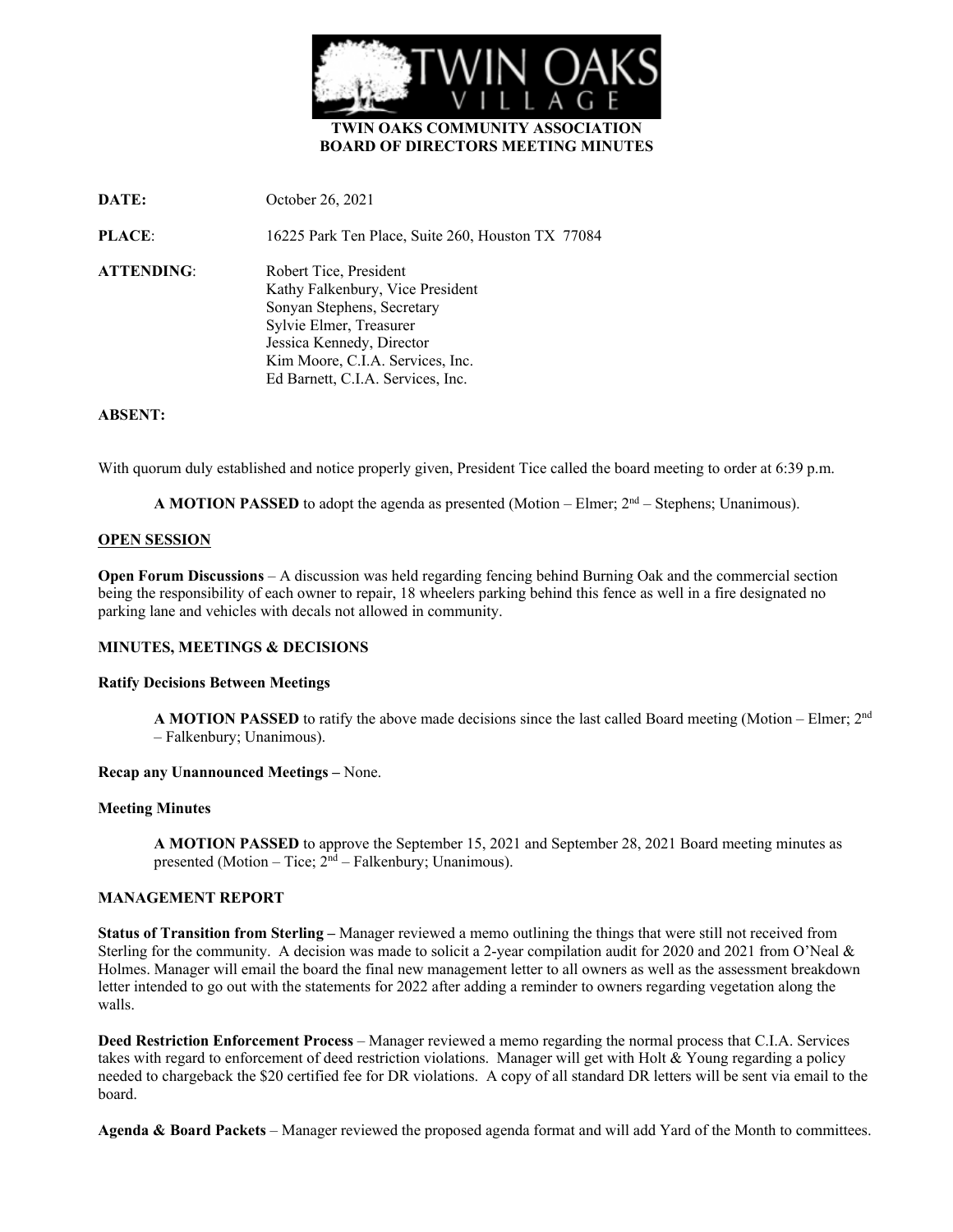

# **TWIN OAKS COMMUNITY ASSOCIATION BOARD OF DIRECTORS MEETING MINUTES**

**DATE:** October 26, 2021

**PLACE**: 16225 Park Ten Place, Suite 260, Houston TX 77084

**ATTENDING**: Robert Tice, President Kathy Falkenbury, Vice President Sonyan Stephens, Secretary Sylvie Elmer, Treasurer Jessica Kennedy, Director Kim Moore, C.I.A. Services, Inc. Ed Barnett, C.I.A. Services, Inc.

# **ABSENT:**

With quorum duly established and notice properly given, President Tice called the board meeting to order at 6:39 p.m.

**A MOTION PASSED** to adopt the agenda as presented (Motion – Elmer;  $2<sup>nd</sup>$  – Stephens; Unanimous).

# **OPEN SESSION**

**Open Forum Discussions** – A discussion was held regarding fencing behind Burning Oak and the commercial section being the responsibility of each owner to repair, 18 wheelers parking behind this fence as well in a fire designated no parking lane and vehicles with decals not allowed in community.

# **MINUTES, MEETINGS & DECISIONS**

## **Ratify Decisions Between Meetings**

**A MOTION PASSED** to ratify the above made decisions since the last called Board meeting (Motion – Elmer;  $2<sup>nd</sup>$ – Falkenbury; Unanimous).

## **Recap any Unannounced Meetings –** None.

## **Meeting Minutes**

**A MOTION PASSED** to approve the September 15, 2021 and September 28, 2021 Board meeting minutes as presented (Motion – Tice;  $2<sup>nd</sup>$  – Falkenbury; Unanimous).

# **MANAGEMENT REPORT**

**Status of Transition from Sterling –** Manager reviewed a memo outlining the things that were still not received from Sterling for the community. A decision was made to solicit a 2-year compilation audit for 2020 and 2021 from O'Neal & Holmes. Manager will email the board the final new management letter to all owners as well as the assessment breakdown letter intended to go out with the statements for 2022 after adding a reminder to owners regarding vegetation along the walls.

**Deed Restriction Enforcement Process** – Manager reviewed a memo regarding the normal process that C.I.A. Services takes with regard to enforcement of deed restriction violations. Manager will get with Holt & Young regarding a policy needed to chargeback the \$20 certified fee for DR violations. A copy of all standard DR letters will be sent via email to the board.

**Agenda & Board Packets** – Manager reviewed the proposed agenda format and will add Yard of the Month to committees.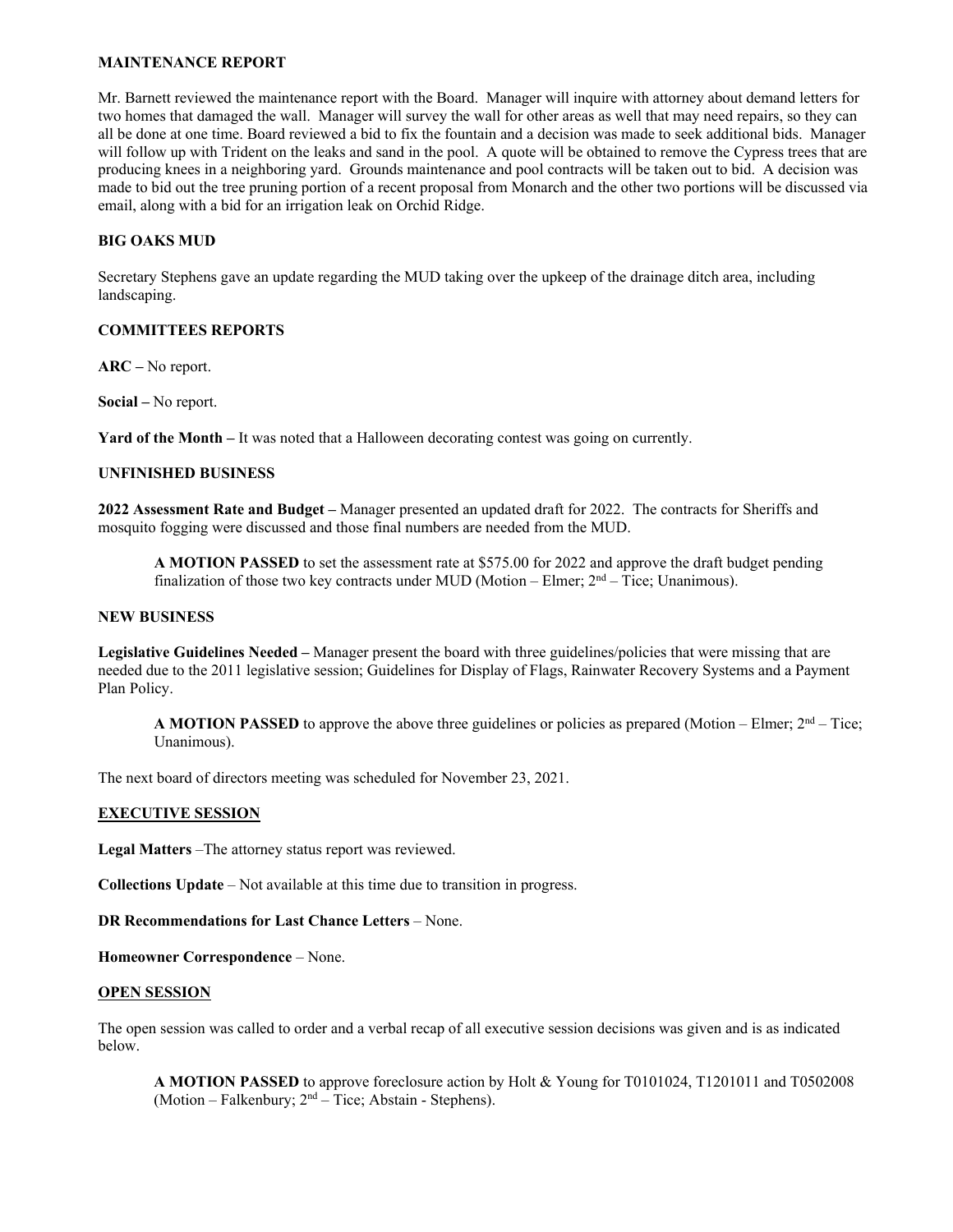# **MAINTENANCE REPORT**

Mr. Barnett reviewed the maintenance report with the Board. Manager will inquire with attorney about demand letters for two homes that damaged the wall. Manager will survey the wall for other areas as well that may need repairs, so they can all be done at one time. Board reviewed a bid to fix the fountain and a decision was made to seek additional bids. Manager will follow up with Trident on the leaks and sand in the pool. A quote will be obtained to remove the Cypress trees that are producing knees in a neighboring yard. Grounds maintenance and pool contracts will be taken out to bid. A decision was made to bid out the tree pruning portion of a recent proposal from Monarch and the other two portions will be discussed via email, along with a bid for an irrigation leak on Orchid Ridge.

## **BIG OAKS MUD**

Secretary Stephens gave an update regarding the MUD taking over the upkeep of the drainage ditch area, including landscaping.

## **COMMITTEES REPORTS**

**ARC –** No report.

**Social –** No report.

**Yard of the Month –** It was noted that a Halloween decorating contest was going on currently.

# **UNFINISHED BUSINESS**

**2022 Assessment Rate and Budget –** Manager presented an updated draft for 2022. The contracts for Sheriffs and mosquito fogging were discussed and those final numbers are needed from the MUD.

**A MOTION PASSED** to set the assessment rate at \$575.00 for 2022 and approve the draft budget pending finalization of those two key contracts under MUD (Motion – Elmer;  $2<sup>nd</sup>$  – Tice; Unanimous).

# **NEW BUSINESS**

**Legislative Guidelines Needed –** Manager present the board with three guidelines/policies that were missing that are needed due to the 2011 legislative session; Guidelines for Display of Flags, Rainwater Recovery Systems and a Payment Plan Policy.

**A MOTION PASSED** to approve the above three guidelines or policies as prepared (Motion – Elmer;  $2<sup>nd</sup>$  – Tice; Unanimous).

The next board of directors meeting was scheduled for November 23, 2021.

## **EXECUTIVE SESSION**

**Legal Matters** –The attorney status report was reviewed.

**Collections Update** – Not available at this time due to transition in progress.

**DR Recommendations for Last Chance Letters** – None.

**Homeowner Correspondence** – None.

## **OPEN SESSION**

The open session was called to order and a verbal recap of all executive session decisions was given and is as indicated below.

**A MOTION PASSED** to approve foreclosure action by Holt & Young for T0101024, T1201011 and T0502008 (Motion – Falkenbury;  $2<sup>nd</sup>$  – Tice; Abstain - Stephens).